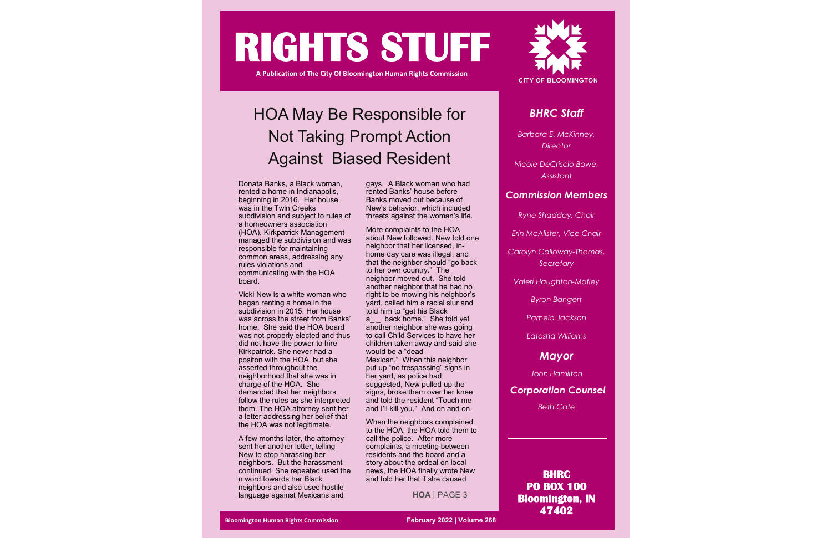

# **RIGHTS STUFF**

**A Publication of The City Of Bloomington Human Rights Commission** 

### *BHRC Staff*

*Barbara E. McKinney, Director* 

*Nicole DeCriscio Bowe, Assistant*

### *Commission Members*

*Ryne Shadday, Chair*

*Erin McAlister, Vice Chair*

*Carolyn Calloway-Thomas, Secretary*

*Valeri Haughton-Motley*

*Byron Bangert*

*Pamela Jackson*

*Latosha WIlliams*

### *Mayor*

*John Hamilton*

### *Corporation Counsel*

*Beth Cate*

**BHRC PO BOX 100 Bloomington, IN 47402** 

## HOA May Be Responsible for Not Taking Prompt Action Against Biased Resident

Donata Banks, a Black woman, rented a home in Indianapolis, beginning in 2016. Her house was in the Twin Creeks subdivision and subject to rules of a homeowners association (HOA). Kirkpatrick Management managed the subdivision and was responsible for maintaining common areas, addressing any rules violations and communicating with the HOA board.

Vicki New is a white woman who began renting a home in the subdivision in 2015. Her house was across the street from Banks' home. She said the HOA board was not properly elected and thus did not have the power to hire Kirkpatrick. She never had a positon with the HOA, but she asserted throughout the neighborhood that she was in charge of the HOA. She demanded that her neighbors follow the rules as she interpreted them. The HOA attorney sent her a letter addressing her belief that the HOA was not legitimate.

a back home." She told yet another neighbor she was going to call Child Services to have her children taken away and said she would be a "dead Mexican." When this neighbor put up "no trespassing" signs in her yard, as police had suggested, New pulled up the signs, broke them over her knee and told the resident "Touch me and I'll kill you." And on and on.

A few months later, the attorney sent her another letter, telling New to stop harassing her neighbors. But the harassment continued. She repeated used the n word towards her Black neighbors and also used hostile language against Mexicans and

gays. A Black woman who had rented Banks' house before Banks moved out because of New's behavior, which included threats against the woman's life.

More complaints to the HOA about New followed. New told one neighbor that her licensed, inhome day care was illegal, and that the neighbor should "go back to her own country." The neighbor moved out. She told another neighbor that he had no right to be mowing his neighbor's yard, called him a racial slur and told him to "get his Black

When the neighbors complained to the HOA, the HOA told them to call the police. After more complaints, a meeting between residents and the board and a story about the ordeal on local news, the HOA finally wrote New and told her that if she caused

**HOA** | PAGE 3

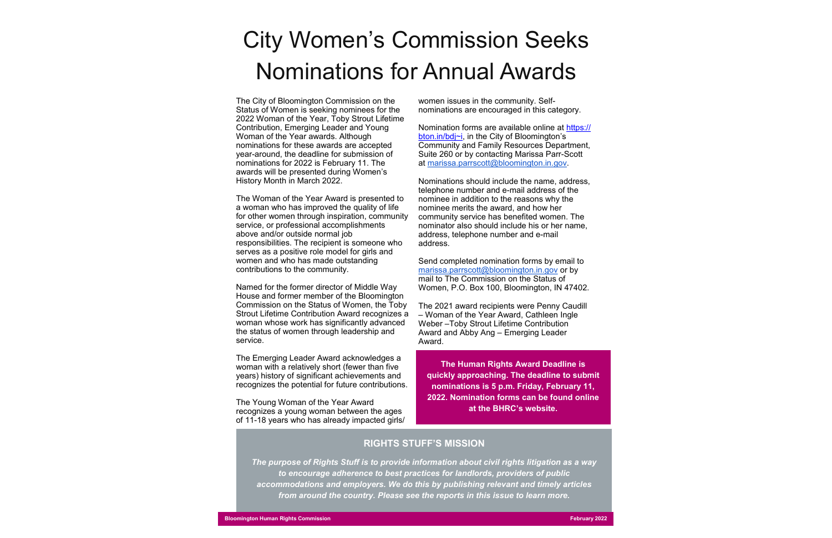# City Women's Commission Seeks Nominations for Annual Awards

The City of Bloomington Commission on the Status of Women is seeking nominees for the 2022 Woman of the Year, Toby Strout Lifetime Contribution, Emerging Leader and Young Woman of the Year awards. Although nominations for these awards are accepted year-around, the deadline for submission of nominations for 2022 is February 11. The awards will be presented during Women's History Month in March 2022.

The Woman of the Year Award is presented to a woman who has improved the quality of life for other women through inspiration, community service, or professional accomplishments above and/or outside normal job responsibilities. The recipient is someone who serves as a positive role model for girls and women and who has made outstanding contributions to the community.

Named for the former director of Middle Way House and former member of the Bloomington Commission on the Status of Women, the Toby Strout Lifetime Contribution Award recognizes a woman whose work has significantly advanced the status of women through leadership and service.

The Emerging Leader Award acknowledges a woman with a relatively short (fewer than five years) history of significant achievements and recognizes the potential for future contributions.

The Young Woman of the Year Award recognizes a young woman between the ages of 11-18 years who has already impacted girls/ women issues in the community. Selfnominations are encouraged in this category.

Nomination forms are available online at [https://](https://bton.in/bdj~i) [bton.in/bdj~i,](https://bton.in/bdj~i) in the City of Bloomington's Community and Family Resources Department, Suite 260 or by contacting Marissa Parr-Scott at marissa.parrscott@bloomington.in.gov.

Nominations should include the name, address, telephone number and e-mail address of the nominee in addition to the reasons why the nominee merits the award, and how her community service has benefited women. The nominator also should include his or her name, address, telephone number and e-mail address.

Send completed nomination forms by email to marissa.parrscott@bloomington.in.gov or by mail to The Commission on the Status of Women, P.O. Box 100, Bloomington, IN 47402.

The 2021 award recipients were Penny Caudill – Woman of the Year Award, Cathleen Ingle Weber –Toby Strout Lifetime Contribution Award and Abby Ang – Emerging Leader Award.

#### **RIGHTS STUFF'S MISSION**

*The purpose of Rights Stuff is to provide information about civil rights litigation as a way to encourage adherence to best practices for landlords, providers of public accommodations and employers. We do this by publishing relevant and timely articles from around the country. Please see the reports in this issue to learn more.* 

**The Human Rights Award Deadline is quickly approaching. The deadline to submit nominations is 5 p.m. Friday, February 11, 2022. Nomination forms can be found online at the BHRC's website.**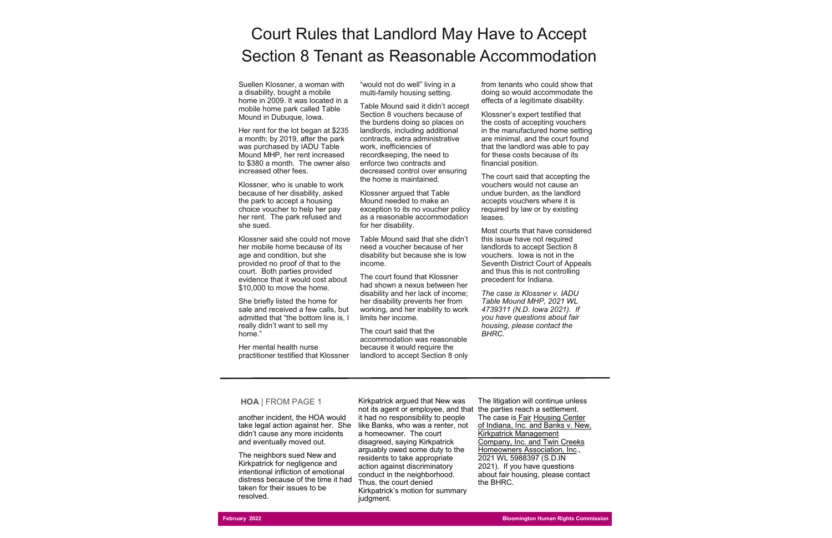Suellen Klossner, a woman with a disability, bought a mobile home in 2009. It was located in a mobile home park called Table Mound in Dubuque, Iowa.

Her rent for the lot began at \$235 a month; by 2019, after the park was purchased by IADU Table Mound MHP, her rent increased to \$380 a month. The owner also increased other fees.

Klossner, who is unable to work because of her disability, asked the park to accept a housing choice voucher to help her pay her rent. The park refused and she sued.

Klossner said she could not move her mobile home because of its age and condition, but she provided no proof of that to the court. Both parties provided evidence that it would cost about \$10,000 to move the home.

She briefly listed the home for sale and received a few calls, but admitted that "the bottom line is, I really didn't want to sell my home."

Her mental health nurse practitioner testified that Klossner "would not do well" living in a multi-family housing setting.

Table Mound said it didn't accept Section 8 vouchers because of the burdens doing so places on landlords, including additional contracts, extra administrative work, inefficiencies of recordkeeping, the need to enforce two contracts and decreased control over ensuring the home is maintained.

Klossner argued that Table Mound needed to make an exception to its no voucher policy as a reasonable accommodation for her disability.

Table Mound said that she didn't need a voucher because of her disability but because she is low income.

The court found that Klossner had shown a nexus between her disability and her lack of income; her disability prevents her from working, and her inability to work limits her income.

The court said that the accommodation was reasonable because it would require the landlord to accept Section 8 only

from tenants who could show that doing so would accommodate the effects of a legitimate disability.

Klossner's expert testified that the costs of accepting vouchers in the manufactured home setting are minimal, and the court found that the landlord was able to pay for these costs because of its financial position.

The court said that accepting the vouchers would not cause an undue burden, as the landlord accepts vouchers where it is required by law or by existing leases.

Most courts that have considered this issue have not required landlords to accept Section 8 vouchers. Iowa is not in the Seventh District Court of Appeals and thus this is not controlling precedent for Indiana.

*The case is Klossner v. IADU Table Mound MHP, 2021 WL 4739311 (N.D. Iowa 2021). If you have questions about fair housing, please contact the BHRC.* 

### Court Rules that Landlord May Have to Accept Section 8 Tenant as Reasonable Accommodation

another incident, the HOA would take legal action against her. She didn't cause any more incidents and eventually moved out.

The neighbors sued New and Kirkpatrick for negligence and intentional infliction of emotional distress because of the time it had taken for their issues to be resolved.

Kirkpatrick argued that New was not its agent or employee, and that the parties reach a settlement. it had no responsibility to people like Banks, who was a renter, not a homeowner. The court disagreed, saying Kirkpatrick arguably owed some duty to the residents to take appropriate action against discriminatory conduct in the neighborhood. Thus, the court denied Kirkpatrick's motion for summary judgment.

The litigation will continue unless The case is Fair Housing Center of Indiana, Inc. and Banks v. New, Kirkpatrick Management Company, Inc. and Twin Creeks Homeowners Association, Inc., 2021 WL 5988397 (S.D.IN 2021). If you have questions about fair housing, please contact the BHRC.

#### **HOA** | FROM PAGE 1